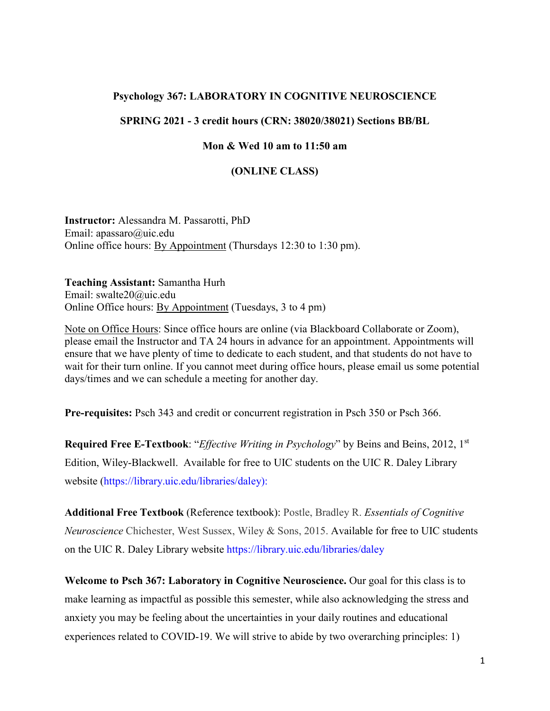## **Psychology 367: LABORATORY IN COGNITIVE NEUROSCIENCE**

## **SPRING 2021 - 3 credit hours (CRN: 38020/38021) Sections BB/BL**

#### **Mon & Wed 10 am to 11:50 am**

#### **(ONLINE CLASS)**

**Instructor:** Alessandra M. Passarotti, PhD Email: apassaro@uic.edu Online office hours: By Appointment (Thursdays 12:30 to 1:30 pm).

**Teaching Assistant:** Samantha Hurh Email: swalte20@uic.edu Online Office hours: By Appointment (Tuesdays, 3 to 4 pm)

Note on Office Hours: Since office hours are online (via Blackboard Collaborate or Zoom), please email the Instructor and TA 24 hours in advance for an appointment. Appointments will ensure that we have plenty of time to dedicate to each student, and that students do not have to wait for their turn online. If you cannot meet during office hours, please email us some potential days/times and we can schedule a meeting for another day.

**Pre-requisites:** [Psch](https://catalog.uic.edu/search/?P=PSCH%20343) 343 and credit or concurrent registration in [Psch](https://catalog.uic.edu/search/?P=PSCH%20350) 350 or [Psch](https://catalog.uic.edu/search/?P=PSCH%20366) 366.

**Required Free E-Textbook**: "*Effective Writing in Psychology*" by Beins and Beins, 2012, 1st Edition, Wiley-Blackwell. Available for free to UIC students on the UIC R. Daley Library website [\(https://library.uic.edu/libraries/daley\)](https://library.uic.edu/libraries/daley):

**Additional Free Textbook** (Reference textbook): Postle, Bradley R. *[Essentials](https://ebookcentral-proquest-com.proxy.cc.uic.edu/lib/uic/detail.action?pq-origsite=primo&docID=1919320) of Cognitive [Neuroscience](https://ebookcentral-proquest-com.proxy.cc.uic.edu/lib/uic/detail.action?pq-origsite=primo&docID=1919320)* Chichester, West Sussex, Wiley & Sons, 2015. Available for free to UIC students on the UIC R. Daley Library website <https://library.uic.edu/libraries/daley>

**Welcome to Psch 367: Laboratory in Cognitive Neuroscience.** Our goal for this class is to make learning as impactful as possible this semester, while also acknowledging the stress and anxiety you may be feeling about the uncertainties in your daily routines and educational experiences related to COVID-19. We will strive to abide by two overarching principles: 1)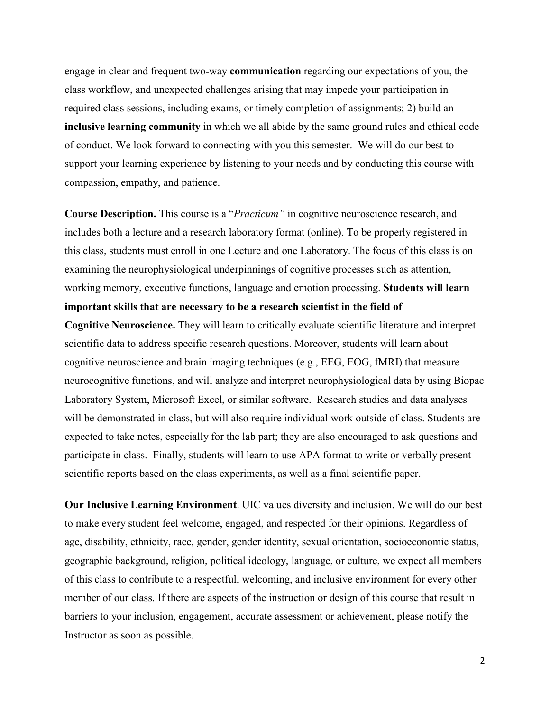engage in clear and frequent two-way **communication** regarding our expectations of you, the class workflow, and unexpected challenges arising that may impede your participation in required class sessions, including exams, or timely completion of assignments; 2) build an **inclusive learning community** in which we all abide by the same ground rules and ethical code of conduct. We look forward to connecting with you this semester. We will do our best to support your learning experience by listening to your needs and by conducting this course with compassion, empathy, and patience.

**Course Description.** This course is a "*Practicum"* in cognitive neuroscience research, and includes both a lecture and a research laboratory format (online). To be properly registered in this class, students must enroll in one Lecture and one Laboratory. The focus of this class is on examining the neurophysiological underpinnings of cognitive processes such as attention, working memory, executive functions, language and emotion processing. **Students will learn important skills that are necessary to be a research scientist in the field of**

**Cognitive Neuroscience.** They will learn to critically evaluate scientific literature and interpret scientific data to address specific research questions. Moreover, students will learn about cognitive neuroscience and brain imaging techniques (e.g., EEG, EOG, fMRI) that measure neurocognitive functions, and will analyze and interpret neurophysiological data by using Biopac Laboratory System, Microsoft Excel, or similar software. Research studies and data analyses will be demonstrated in class, but will also require individual work outside of class. Students are expected to take notes, especially for the lab part; they are also encouraged to ask questions and participate in class. Finally, students will learn to use APA format to write or verbally present scientific reports based on the class experiments, as well as a final scientific paper.

**Our Inclusive Learning Environment**. UIC values diversity and inclusion. We will do our best to make every student feel welcome, engaged, and respected for their opinions. Regardless of age, disability, ethnicity, race, gender, gender identity, sexual orientation, socioeconomic status, geographic background, religion, political ideology, language, or culture, we expect all members of this class to contribute to a respectful, welcoming, and inclusive environment for every other member of our class. If there are aspects of the instruction or design of this course that result in barriers to your inclusion, engagement, accurate assessment or achievement, please notify the Instructor as soon as possible.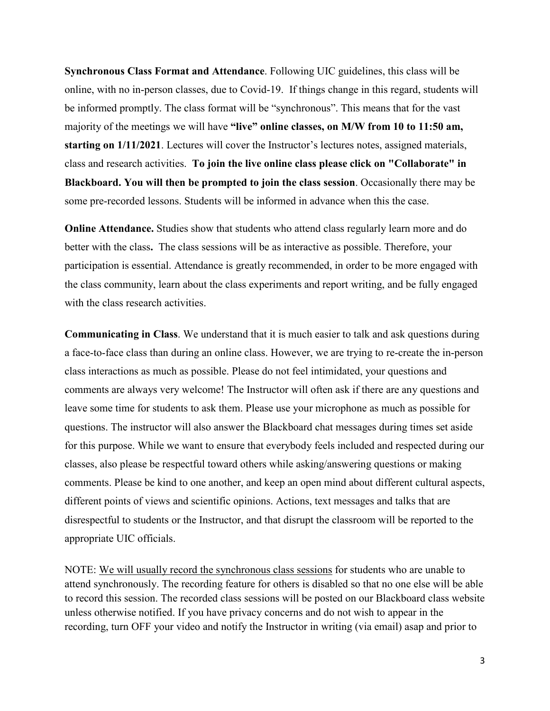**Synchronous Class Format and Attendance**. Following UIC guidelines, this class will be online, with no in-person classes, due to Covid-19. If things change in this regard, students will be informed promptly. The class format will be "synchronous". This means that for the vast majority of the meetings we will have **"live" online classes, on M/W from 10 to 11:50 am, starting on 1/11/2021**. Lectures will cover the Instructor's lectures notes, assigned materials, class and research activities. **To join the live online class please click on "Collaborate" in Blackboard. You will then be prompted to join the class session**. Occasionally there may be some pre-recorded lessons. Students will be informed in advance when this the case.

**Online Attendance.** Studies show that students who attend class regularly learn more and do better with the class**.** The class sessions will be as interactive as possible. Therefore, your participation is essential. Attendance is greatly recommended, in order to be more engaged with the class community, learn about the class experiments and report writing, and be fully engaged with the class research activities.

**Communicating in Class**. We understand that it is much easier to talk and ask questions during a face-to-face class than during an online class. However, we are trying to re-create the in-person class interactions as much as possible. Please do not feel intimidated, your questions and comments are always very welcome! The Instructor will often ask if there are any questions and leave some time for students to ask them. Please use your microphone as much as possible for questions. The instructor will also answer the Blackboard chat messages during times set aside for this purpose. While we want to ensure that everybody feels included and respected during our classes, also please be respectful toward others while asking/answering questions or making comments. Please be kind to one another, and keep an open mind about different cultural aspects, different points of views and scientific opinions. Actions, text messages and talks that are disrespectful to students or the Instructor, and that disrupt the classroom will be reported to the appropriate UIC officials.

NOTE: We will usually record the synchronous class sessions for students who are unable to attend synchronously. The recording feature for others is disabled so that no one else will be able to record this session. The recorded class sessions will be posted on our Blackboard class website unless otherwise notified. If you have privacy concerns and do not wish to appear in the recording, turn OFF your video and notify the Instructor in writing (via email) asap and prior to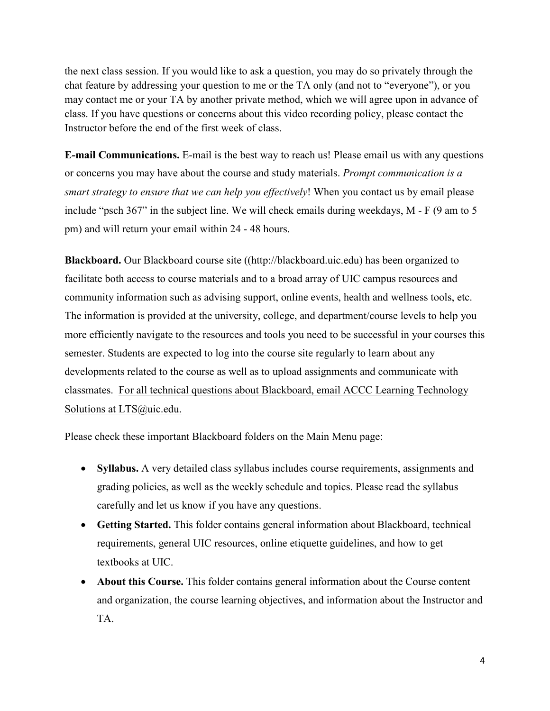the next class session. If you would like to ask a question, you may do so privately through the chat feature by addressing your question to me or the TA only (and not to "everyone"), or you may contact me or your TA by another private method, which we will agree upon in advance of class. If you have questions or concerns about this video recording policy, please contact the Instructor before the end of the first week of class.

**E-mail Communications.** E-mail is the best way to reach us! Please email us with any questions or concerns you may have about the course and study materials. *Prompt communication is a smart strategy to ensure that we can help you effectively*! When you contact us by email please include "psch 367" in the subject line. We will check emails during weekdays, M - F (9 am to 5 pm) and will return your email within 24 - 48 hours.

**Blackboard.** Our Blackboard course site ([\(http://blackboard.uic.edu\)](http://blackboard.uic.edu/) has been organized to facilitate both access to course materials and to a broad array of UIC campus resources and community information such as advising support, online events, health and wellness tools, etc. The information is provided at the university, college, and department/course levels to help you more efficiently navigate to the resources and tools you need to be successful in your courses this semester. Students are expected to log into the course site regularly to learn about any developments related to the course as well as to upload assignments and communicate with classmates. For all technical questions about Blackboard, email ACCC Learning Technology Solutions at [LTS@uic.edu.](mailto:LTS@uic.edu)

Please check these important Blackboard folders on the Main Menu page:

- **Syllabus.** A very detailed class syllabus includes course requirements, assignments and grading policies, as well as the weekly schedule and topics. Please read the syllabus carefully and let us know if you have any questions.
- **Getting Started.** This folder contains general information about Blackboard, technical requirements, general UIC resources, online etiquette guidelines, and how to get textbooks at UIC.
- **About this Course.** This folder contains general information about the Course content and organization, the course learning objectives, and information about the Instructor and TA.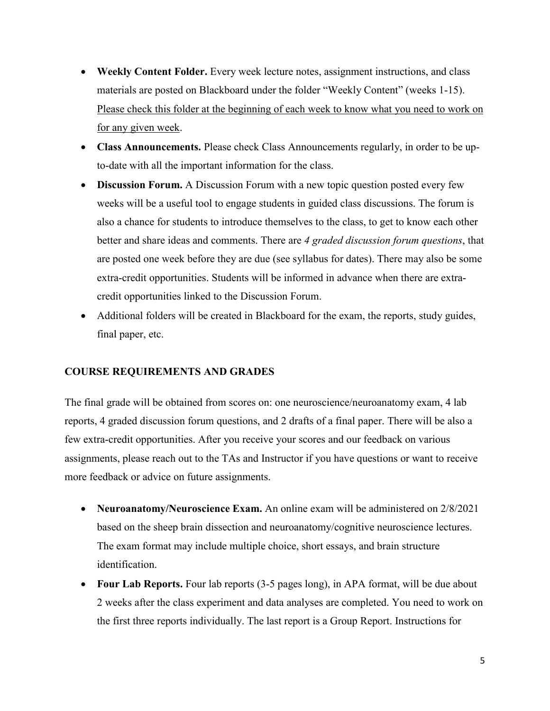- **Weekly Content Folder.** Every week lecture notes, assignment instructions, and class materials are posted on Blackboard under the folder "Weekly Content" (weeks 1-15). Please check this folder at the beginning of each week to know what you need to work on for any given week.
- **Class Announcements.** Please check Class Announcements regularly, in order to be upto-date with all the important information for the class.
- **Discussion Forum.** A Discussion Forum with a new topic question posted every few weeks will be a useful tool to engage students in guided class discussions. The forum is also a chance for students to introduce themselves to the class, to get to know each other better and share ideas and comments. There are *4 graded discussion forum questions*, that are posted one week before they are due (see syllabus for dates). There may also be some extra-credit opportunities. Students will be informed in advance when there are extracredit opportunities linked to the Discussion Forum.
- Additional folders will be created in Blackboard for the exam, the reports, study guides, final paper, etc.

#### **COURSE REQUIREMENTS AND GRADES**

The final grade will be obtained from scores on: one neuroscience/neuroanatomy exam, 4 lab reports, 4 graded discussion forum questions, and 2 drafts of a final paper. There will be also a few extra-credit opportunities. After you receive your scores and our feedback on various assignments, please reach out to the TAs and Instructor if you have questions or want to receive more feedback or advice on future assignments.

- **Neuroanatomy/Neuroscience Exam.** An online exam will be administered on 2/8/2021 based on the sheep brain dissection and neuroanatomy/cognitive neuroscience lectures. The exam format may include multiple choice, short essays, and brain structure identification.
- **Four Lab Reports.** Four lab reports (3-5 pages long), in APA format, will be due about 2 weeks after the class experiment and data analyses are completed. You need to work on the first three reports individually. The last report is a Group Report. Instructions for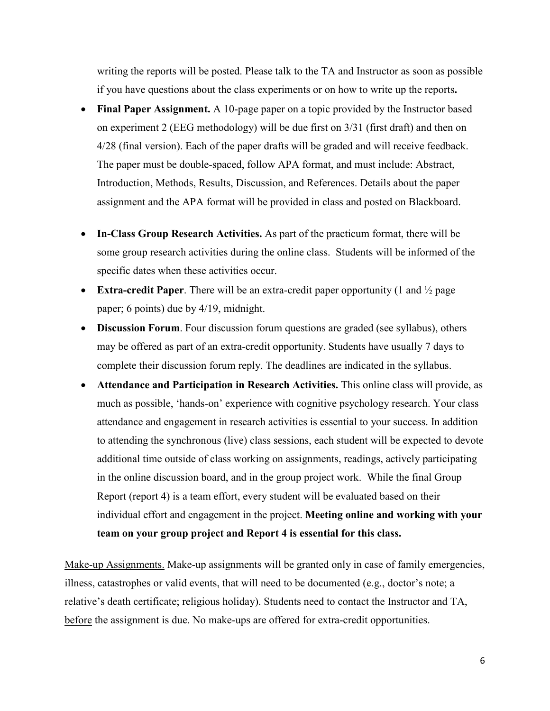writing the reports will be posted. Please talk to the TA and Instructor as soon as possible if you have questions about the class experiments or on how to write up the reports**.** 

- **Final Paper Assignment.** A 10-page paper on a topic provided by the Instructor based on experiment 2 (EEG methodology) will be due first on 3/31 (first draft) and then on 4/28 (final version). Each of the paper drafts will be graded and will receive feedback. The paper must be double-spaced, follow APA format, and must include: Abstract, Introduction, Methods, Results, Discussion, and References. Details about the paper assignment and the APA format will be provided in class and posted on Blackboard.
- **In-Class Group Research Activities.** As part of the practicum format, there will be some group research activities during the online class. Students will be informed of the specific dates when these activities occur.
- **Extra-credit Paper**. There will be an extra-credit paper opportunity (1 and ½ page paper; 6 points) due by 4/19, midnight.
- **Discussion Forum**. Four discussion forum questions are graded (see syllabus), others may be offered as part of an extra-credit opportunity. Students have usually 7 days to complete their discussion forum reply. The deadlines are indicated in the syllabus.
- **Attendance and Participation in Research Activities.** This online class will provide, as much as possible, 'hands-on' experience with cognitive psychology research. Your class attendance and engagement in research activities is essential to your success. In addition to attending the synchronous (live) class sessions, each student will be expected to devote additional time outside of class working on assignments, readings, actively participating in the online discussion board, and in the group project work. While the final Group Report (report 4) is a team effort, every student will be evaluated based on their individual effort and engagement in the project. **Meeting online and working with your team on your group project and Report 4 is essential for this class.**

Make-up Assignments. Make-up assignments will be granted only in case of family emergencies, illness, catastrophes or valid events, that will need to be documented (e.g., doctor's note; a relative's death certificate; religious holiday). Students need to contact the Instructor and TA, before the assignment is due. No make-ups are offered for extra-credit opportunities.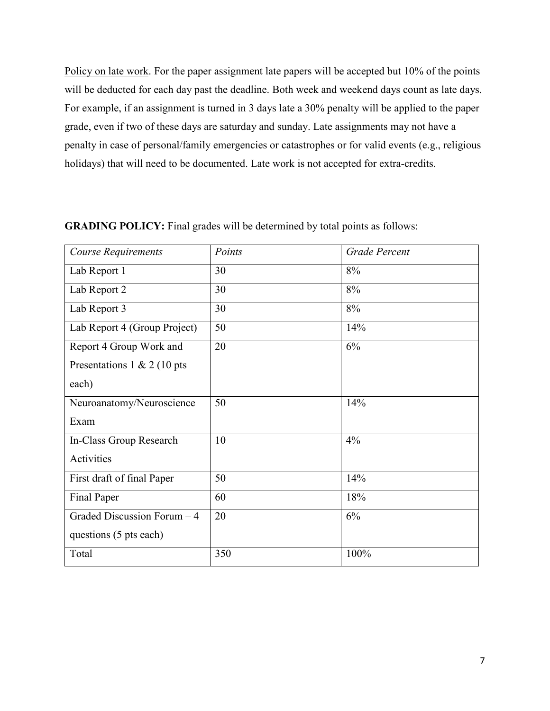Policy on late work. For the paper assignment late papers will be accepted but 10% of the points will be deducted for each day past the deadline. Both week and weekend days count as late days. For example, if an assignment is turned in 3 days late a 30% penalty will be applied to the paper grade, even if two of these days are saturday and sunday. Late assignments may not have a penalty in case of personal/family emergencies or catastrophes or for valid events (e.g., religious holidays) that will need to be documented. Late work is not accepted for extra-credits.

| Course Requirements          | Points | <b>Grade Percent</b> |
|------------------------------|--------|----------------------|
| Lab Report 1                 | 30     | 8%                   |
| Lab Report 2                 | 30     | 8%                   |
| Lab Report 3                 | 30     | $8\%$                |
| Lab Report 4 (Group Project) | 50     | 14%                  |
| Report 4 Group Work and      | 20     | 6%                   |
| Presentations 1 & 2 (10 pts  |        |                      |
| each)                        |        |                      |
| Neuroanatomy/Neuroscience    | 50     | 14%                  |
| Exam                         |        |                      |
| In-Class Group Research      | 10     | 4%                   |
| Activities                   |        |                      |
| First draft of final Paper   | 50     | 14%                  |
| Final Paper                  | 60     | 18%                  |
| Graded Discussion Forum - 4  | 20     | 6%                   |
| questions (5 pts each)       |        |                      |
| Total                        | 350    | $100\%$              |

#### **GRADING POLICY:** Final grades will be determined by total points as follows: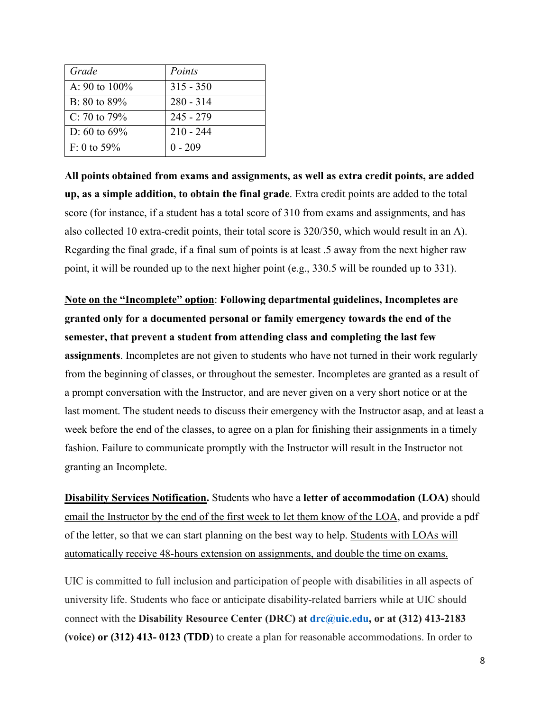| Grade            | Points      |
|------------------|-------------|
| A: 90 to $100\%$ | $315 - 350$ |
| $B: 80$ to 89%   | $280 - 314$ |
| C: 70 to 79%     | $245 - 279$ |
| D: 60 to $69\%$  | $210 - 244$ |
| $F: 0$ to 59%    | $0 - 209$   |

**All points obtained from exams and assignments, as well as extra credit points, are added up, as a simple addition, to obtain the final grade**. Extra credit points are added to the total score (for instance, if a student has a total score of 310 from exams and assignments, and has also collected 10 extra-credit points, their total score is 320/350, which would result in an A). Regarding the final grade, if a final sum of points is at least .5 away from the next higher raw point, it will be rounded up to the next higher point (e.g., 330.5 will be rounded up to 331).

**Note on the "Incomplete" option**: **Following departmental guidelines, Incompletes are granted only for a documented personal or family emergency towards the end of the semester, that prevent a student from attending class and completing the last few assignments**. Incompletes are not given to students who have not turned in their work regularly from the beginning of classes, or throughout the semester. Incompletes are granted as a result of a prompt conversation with the Instructor, and are never given on a very short notice or at the last moment. The student needs to discuss their emergency with the Instructor asap, and at least a week before the end of the classes, to agree on a plan for finishing their assignments in a timely fashion. Failure to communicate promptly with the Instructor will result in the Instructor not granting an Incomplete.

**Disability Services Notification.** Students who have a **letter of accommodation (LOA)** should email the Instructor by the end of the first week to let them know of the LOA, and provide a pdf of the letter, so that we can start planning on the best way to help. Students with LOAs will automatically receive 48-hours extension on assignments, and double the time on exams.

UIC is committed to full inclusion and participation of people with disabilities in all aspects of university life. Students who face or anticipate disability-related barriers while at UIC should connect with the **Disability Resource Center (DRC) at [drc@uic.edu,](mailto:drc@uic.edu) or at (312) 413-2183 (voice) or (312) 413- 0123 (TDD**) to create a plan for reasonable accommodations. In order to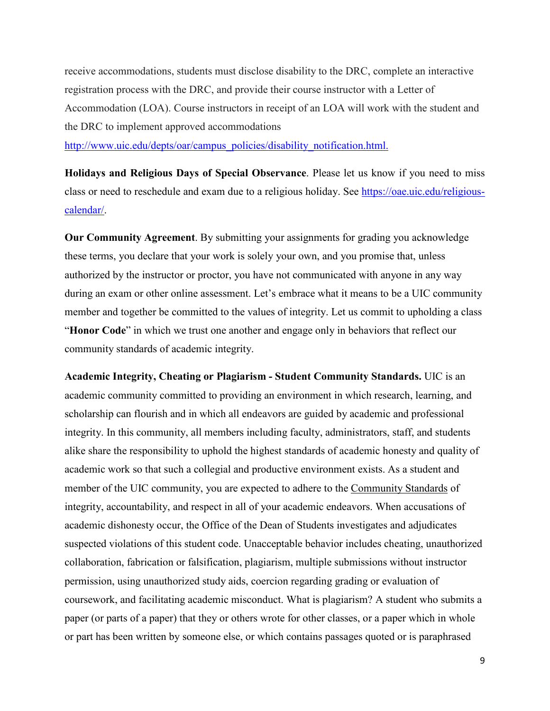receive accommodations, students must disclose disability to the DRC, complete an interactive registration process with the DRC, and provide their course instructor with a Letter of Accommodation (LOA). Course instructors in receipt of an LOA will work with the student and the DRC to implement approved accommodations

[http://www.uic.edu/depts/oar/campus\\_policies/disability\\_notification.html.](http://www.uic.edu/depts/oar/campus_policies/disability_notification.html)

**Holidays and Religious Days of Special Observance**. Please let us know if you need to miss class or need to reschedule and exam due to a religious holiday. See [https://oae.uic.edu/religious](https://oae.uic.edu/religious-calendar/)[calendar/.](https://oae.uic.edu/religious-calendar/)

**Our Community Agreement**. By submitting your assignments for grading you acknowledge these terms, you declare that your work is solely your own, and you promise that, unless authorized by the instructor or proctor, you have not communicated with anyone in any way during an exam or other online assessment. Let's embrace what it means to be a UIC community member and together be committed to the values of integrity. Let us commit to upholding a class "**Honor Code**" in which we trust one another and engage only in behaviors that reflect our community standards of academic integrity.

**Academic Integrity, Cheating or Plagiarism - Student Community Standards.** UIC is an academic community committed to providing an environment in which research, learning, and scholarship can flourish and in which all endeavors are guided by academic and professional integrity. In this community, all members including faculty, administrators, staff, and students alike share the responsibility to uphold the highest standards of academic honesty and quality of academic work so that such a collegial and productive environment exists. As a student and member of the UIC community, you are expected to adhere to the [Community Standards](https://dos.uic.edu/community-standards/) of integrity, accountability, and respect in all of your academic endeavors. When [accusations of](https://dos.uic.edu/community-standards/academic-integrity/)  [academic dishonesty](https://dos.uic.edu/community-standards/academic-integrity/) occur, the Office of the Dean of Students investigates and adjudicates suspected violations of this student code. Unacceptable behavior includes cheating, unauthorized collaboration, fabrication or falsification, plagiarism, multiple submissions without instructor permission, using unauthorized study aids, coercion regarding grading or evaluation of coursework, and facilitating academic misconduct. What is plagiarism? A student who submits a paper (or parts of a paper) that they or others wrote for other classes, or a paper which in whole or part has been written by someone else, or which contains passages quoted or is paraphrased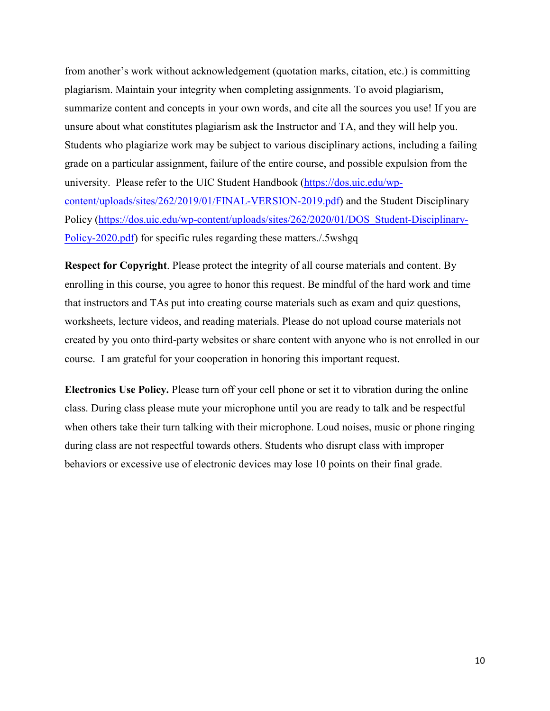from another's work without acknowledgement (quotation marks, citation, etc.) is committing plagiarism. Maintain your integrity when completing assignments. To avoid plagiarism, summarize content and concepts in your own words, and cite all the sources you use! If you are unsure about what constitutes plagiarism ask the Instructor and TA, and they will help you. Students who plagiarize work may be subject to various disciplinary actions, including a failing grade on a particular assignment, failure of the entire course, and possible expulsion from the university. Please refer to the UIC Student Handbook [\(https://dos.uic.edu/wp](https://dos.uic.edu/wp-content/uploads/sites/262/2019/01/FINAL-VERSION-2019.pdf)[content/uploads/sites/262/2019/01/FINAL-VERSION-2019.pdf\)](https://dos.uic.edu/wp-content/uploads/sites/262/2019/01/FINAL-VERSION-2019.pdf) and the Student Disciplinary Policy [\(https://dos.uic.edu/wp-content/uploads/sites/262/2020/01/DOS\\_Student-Disciplinary-](https://dos.uic.edu/wp-content/uploads/sites/262/2020/01/DOS_Student-Disciplinary-Policy-2020.pdf)[Policy-2020.pdf\)](https://dos.uic.edu/wp-content/uploads/sites/262/2020/01/DOS_Student-Disciplinary-Policy-2020.pdf) for specific rules regarding these matters./.5wshgq

**Respect for Copyright**. Please protect the integrity of all course materials and content. By enrolling in this course, you agree to honor this request. Be mindful of the hard work and time that instructors and TAs put into creating course materials such as exam and quiz questions, worksheets, lecture videos, and reading materials. Please do not upload course materials not created by you onto third-party websites or share content with anyone who is not enrolled in our course. I am grateful for your cooperation in honoring this important request.

**Electronics Use Policy.** Please turn off your cell phone or set it to vibration during the online class. During class please mute your microphone until you are ready to talk and be respectful when others take their turn talking with their microphone. Loud noises, music or phone ringing during class are not respectful towards others. Students who disrupt class with improper behaviors or excessive use of electronic devices may lose 10 points on their final grade.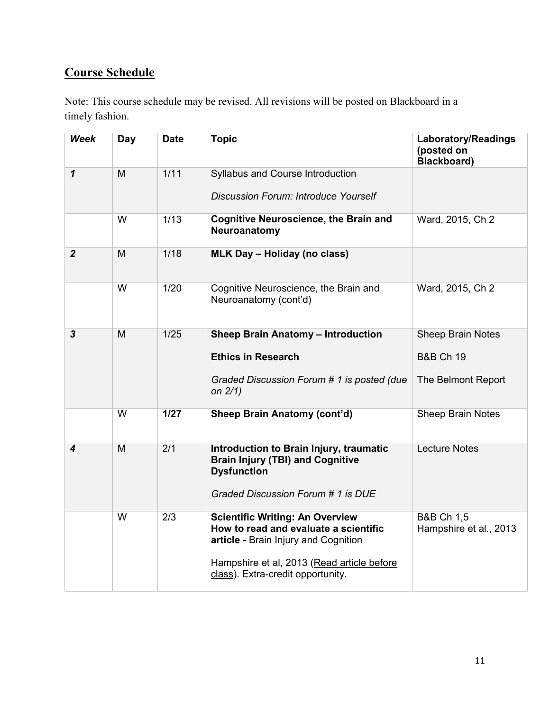# **Course Schedule**

Note: This course schedule may be revised. All revisions will be posted on Blackboard in a timely fashion.

| <b>Week</b>             | Day | <b>Date</b> | <b>Topic</b>                                                                                                                                                                                               | <b>Laboratory/Readings</b><br>(posted on<br>Blackboard)                |
|-------------------------|-----|-------------|------------------------------------------------------------------------------------------------------------------------------------------------------------------------------------------------------------|------------------------------------------------------------------------|
| $\overline{\mathbf{1}}$ | M   | 1/11        | Syllabus and Course Introduction<br><b>Discussion Forum: Introduce Yourself</b>                                                                                                                            |                                                                        |
|                         | W   | 1/13        | <b>Cognitive Neuroscience, the Brain and</b><br>Neuroanatomy                                                                                                                                               | Ward, 2015, Ch 2                                                       |
| $\boldsymbol{2}$        | M   | 1/18        | <b>MLK Day - Holiday (no class)</b>                                                                                                                                                                        |                                                                        |
|                         | W   | 1/20        | Cognitive Neuroscience, the Brain and<br>Neuroanatomy (cont'd)                                                                                                                                             | Ward, 2015, Ch 2                                                       |
| $\overline{\mathbf{3}}$ | M   | 1/25        | <b>Sheep Brain Anatomy - Introduction</b><br><b>Ethics in Research</b><br>Graded Discussion Forum # 1 is posted (due<br>on $2/1$ )                                                                         | <b>Sheep Brain Notes</b><br><b>B&amp;B Ch 19</b><br>The Belmont Report |
|                         | W   | $1/27$      | Sheep Brain Anatomy (cont'd)                                                                                                                                                                               | <b>Sheep Brain Notes</b>                                               |
| 4                       | M   | 2/1         | Introduction to Brain Injury, traumatic<br><b>Brain Injury (TBI) and Cognitive</b><br><b>Dysfunction</b><br>Graded Discussion Forum # 1 is DUE                                                             | <b>Lecture Notes</b>                                                   |
|                         | W   | 2/3         | <b>Scientific Writing: An Overview</b><br>How to read and evaluate a scientific<br>article - Brain Injury and Cognition<br>Hampshire et al, 2013 (Read article before<br>class). Extra-credit opportunity. | <b>B&amp;B Ch 1,5</b><br>Hampshire et al., 2013                        |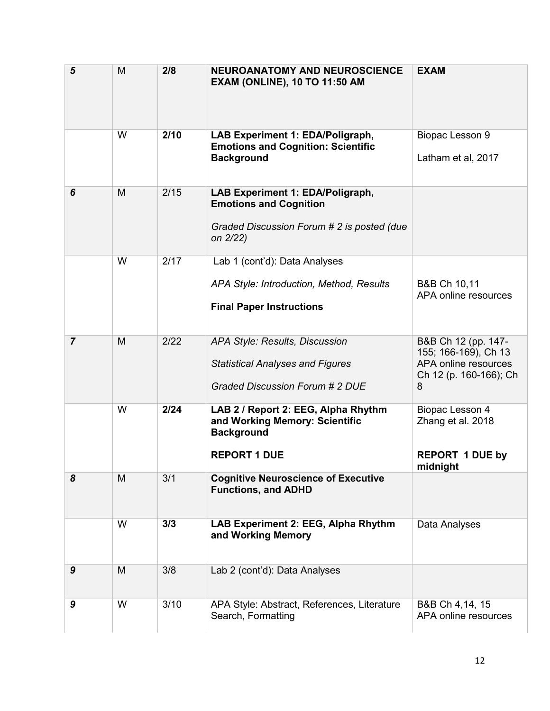| 5              | M | 2/8  | <b>NEUROANATOMY AND NEUROSCIENCE</b><br><b>EXAM (ONLINE), 10 TO 11:50 AM</b>                                                | <b>EXAM</b>                                                                                        |
|----------------|---|------|-----------------------------------------------------------------------------------------------------------------------------|----------------------------------------------------------------------------------------------------|
|                | W | 2/10 | LAB Experiment 1: EDA/Poligraph,<br><b>Emotions and Cognition: Scientific</b><br><b>Background</b>                          | Biopac Lesson 9<br>Latham et al, 2017                                                              |
| 6              | M | 2/15 | LAB Experiment 1: EDA/Poligraph,<br><b>Emotions and Cognition</b><br>Graded Discussion Forum # 2 is posted (due<br>on 2/22) |                                                                                                    |
|                | W | 2/17 | Lab 1 (cont'd): Data Analyses<br>APA Style: Introduction, Method, Results<br><b>Final Paper Instructions</b>                | B&B Ch 10,11<br>APA online resources                                                               |
| $\overline{7}$ | M | 2/22 | APA Style: Results, Discussion<br><b>Statistical Analyses and Figures</b><br>Graded Discussion Forum # 2 DUE                | B&B Ch 12 (pp. 147-<br>155; 166-169), Ch 13<br>APA online resources<br>Ch 12 (p. 160-166); Ch<br>8 |
|                | W | 2/24 | LAB 2 / Report 2: EEG, Alpha Rhythm<br>and Working Memory: Scientific<br><b>Background</b><br><b>REPORT 1 DUE</b>           | Biopac Lesson 4<br>Zhang et al. 2018<br><b>REPORT 1 DUE by</b><br>midnight                         |
| 8              | M | 3/1  | <b>Cognitive Neuroscience of Executive</b><br><b>Functions, and ADHD</b>                                                    |                                                                                                    |
|                | W | 3/3  | LAB Experiment 2: EEG, Alpha Rhythm<br>and Working Memory                                                                   | Data Analyses                                                                                      |
| 9              | M | 3/8  | Lab 2 (cont'd): Data Analyses                                                                                               |                                                                                                    |
| 9              | W | 3/10 | APA Style: Abstract, References, Literature<br>Search, Formatting                                                           | B&B Ch 4,14, 15<br>APA online resources                                                            |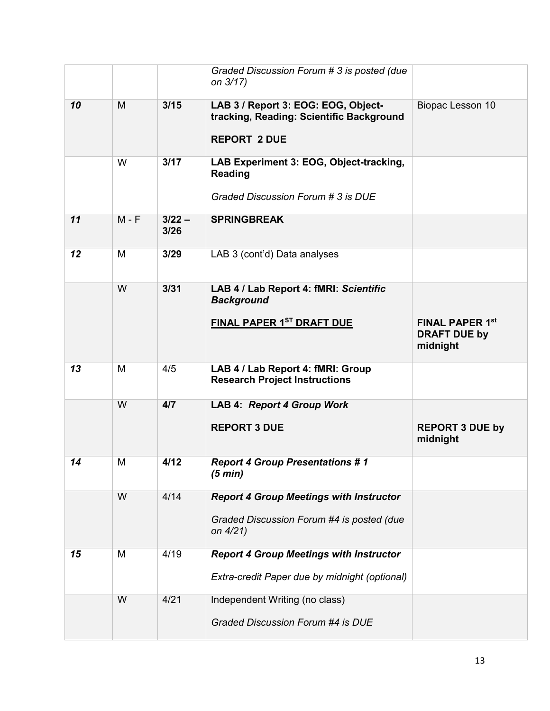|    |         |                  | Graded Discussion Forum # 3 is posted (due<br>on 3/17)                                                  |                                                           |
|----|---------|------------------|---------------------------------------------------------------------------------------------------------|-----------------------------------------------------------|
| 10 | M       | 3/15             | LAB 3 / Report 3: EOG: EOG, Object-<br>tracking, Reading: Scientific Background<br><b>REPORT 2 DUE</b>  | Biopac Lesson 10                                          |
|    | W       | 3/17             | LAB Experiment 3: EOG, Object-tracking,<br>Reading<br>Graded Discussion Forum # 3 is DUE                |                                                           |
| 11 | $M - F$ | $3/22 -$<br>3/26 | <b>SPRINGBREAK</b>                                                                                      |                                                           |
| 12 | M       | 3/29             | LAB 3 (cont'd) Data analyses                                                                            |                                                           |
|    | W       | 3/31             | LAB 4 / Lab Report 4: fMRI: Scientific<br><b>Background</b><br>FINAL PAPER 1ST DRAFT DUE                | <b>FINAL PAPER 1st</b><br><b>DRAFT DUE by</b><br>midnight |
| 13 | M       | 4/5              | LAB 4 / Lab Report 4: fMRI: Group<br><b>Research Project Instructions</b>                               |                                                           |
|    | W       | 4/7              | <b>LAB 4: Report 4 Group Work</b><br><b>REPORT 3 DUE</b>                                                | <b>REPORT 3 DUE by</b><br>midnight                        |
| 14 | M       | 4/12             | <b>Report 4 Group Presentations #1</b><br>(5 min)                                                       |                                                           |
|    | W       | 4/14             | <b>Report 4 Group Meetings with Instructor</b><br>Graded Discussion Forum #4 is posted (due<br>on 4/21) |                                                           |
| 15 | M       | 4/19             | <b>Report 4 Group Meetings with Instructor</b><br>Extra-credit Paper due by midnight (optional)         |                                                           |
|    | W       | 4/21             | Independent Writing (no class)<br>Graded Discussion Forum #4 is DUE                                     |                                                           |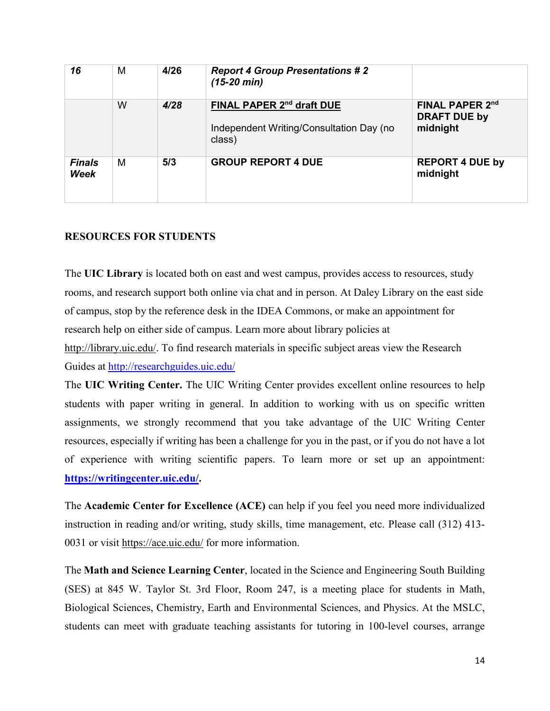| 16                    | M | 4/26 | <b>Report 4 Group Presentations #2</b><br>$(15-20 \text{ min})$                             |                                                    |
|-----------------------|---|------|---------------------------------------------------------------------------------------------|----------------------------------------------------|
|                       | W | 4/28 | FINAL PAPER 2 <sup>nd</sup> draft DUE<br>Independent Writing/Consultation Day (no<br>class) | FINAL PAPER 2nd<br><b>DRAFT DUE by</b><br>midnight |
| <b>Finals</b><br>Week | M | 5/3  | <b>GROUP REPORT 4 DUE</b>                                                                   | <b>REPORT 4 DUE by</b><br>midnight                 |

# **RESOURCES FOR STUDENTS**

The **UIC Library** is located both on east and west campus, provides access to resources, study rooms, and research support both online via chat and in person. At Daley Library on the east side of campus, stop by the reference desk in the IDEA Commons, or make an appointment for research help on either side of campus. Learn more about library policies at [http://library.uic.edu/.](http://library.uic.edu/) To find research materials in specific subject areas view the Research Guides at<http://researchguides.uic.edu/>

The **UIC Writing Center.** The UIC Writing Center provides excellent online resources to help students with paper writing in general. In addition to working with us on specific written assignments, we strongly recommend that you take advantage of the UIC Writing Center resources, especially if writing has been a challenge for you in the past, or if you do not have a lot of experience with writing scientific papers. To learn more or set up an appointment: **[https://writingcenter.uic.edu/.](https://writingcenter.uic.edu/)**

The **Academic Center for Excellence (ACE)** can help if you feel you need more individualized instruction in reading and/or writing, study skills, time management, etc. Please call (312) 413 0031 or visit<https://ace.uic.edu/> for more information.

The **Math and Science Learning Center**, located in the Science and Engineering South Building (SES) at 845 W. Taylor St. 3rd Floor, Room 247, is a meeting place for students in Math, Biological Sciences, Chemistry, Earth and Environmental Sciences, and Physics. At the MSLC, students can meet with graduate teaching assistants for tutoring in 100-level courses, arrange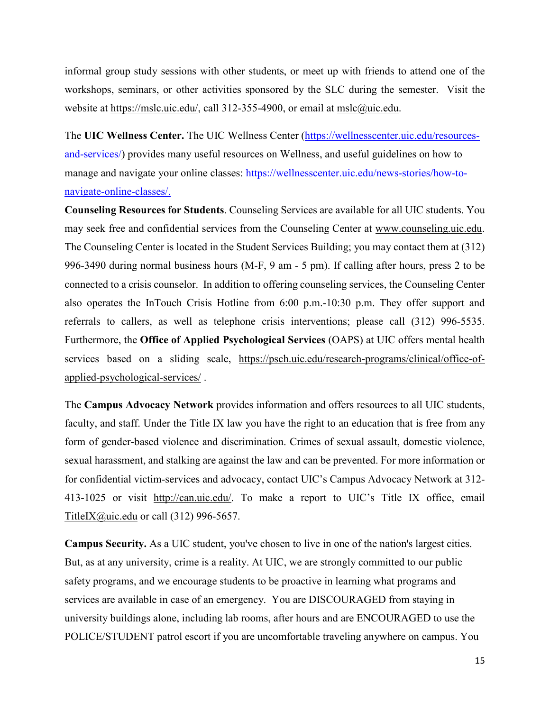informal group study sessions with other students, or meet up with friends to attend one of the workshops, seminars, or other activities sponsored by the SLC during the semester. Visit the website at [https://mslc.uic.edu/,](https://mslc.uic.edu/) call 312-355-4900, or email at [mslc@uic.edu.](mailto:mslc@uic.edu)

The **UIC Wellness Center.** The UIC Wellness Center [\(https://wellnesscenter.uic.edu/resources](https://wellnesscenter.uic.edu/resources-and-services/)[and-services/\)](https://wellnesscenter.uic.edu/resources-and-services/) provides many useful resources on Wellness, and useful guidelines on how to manage and navigate your online classes: [https://wellnesscenter.uic.edu/news-stories/how-to](https://wellnesscenter.uic.edu/news-stories/how-to-navigate-online-classes/)[navigate-online-classes/.](https://wellnesscenter.uic.edu/news-stories/how-to-navigate-online-classes/)

**Counseling Resources for Students**. Counseling Services are available for all UIC students. You may seek free and confidential services from the Counseling Center at [www.counseling.uic.edu.](http://www.counseling.uic.edu/) The Counseling Center is located in the Student Services Building; you may contact them at (312) 996-3490 during normal business hours (M-F, 9 am - 5 pm). If calling after hours, press 2 to be connected to a crisis counselor. In addition to offering counseling services, the Counseling Center also operates the InTouch Crisis Hotline from 6:00 p.m.-10:30 p.m. They offer support and referrals to callers, as well as telephone crisis interventions; please call (312) 996-5535. Furthermore, the **Office of Applied Psychological Services** (OAPS) at UIC offers mental health services based on a sliding scale, [https://psch.uic.edu/research-programs/clinical/office-of](https://psch.uic.edu/research-programs/clinical/office-of-applied-psychological-services/)[applied-psychological-services/](https://psch.uic.edu/research-programs/clinical/office-of-applied-psychological-services/) .

The **Campus Advocacy Network** provides information and offers resources to all UIC students, faculty, and staff. Under the Title IX law you have the right to an education that is free from any form of gender-based violence and discrimination. Crimes of sexual assault, domestic violence, sexual harassment, and stalking are against the law and can be prevented. For more information or for confidential victim-services and advocacy, contact UIC's Campus Advocacy Network at 312- 413-1025 or visit [http://can.uic.edu/.](http://can.uic.edu/) To make a report to UIC's Title IX office, email [TitleIX@uic.edu](mailto:TitleIX@uic.edu) or call (312) 996-5657.

**Campus Security.** As a UIC student, you've chosen to live in one of the nation's largest cities. But, as at any university, crime is a reality. At UIC, we are strongly committed to our public safety programs, and we encourage students to be proactive in learning what programs and services are available in case of an emergency. You are DISCOURAGED from staying in university buildings alone, including lab rooms, after hours and are ENCOURAGED to use the POLICE/STUDENT patrol escort if you are uncomfortable traveling anywhere on campus. You